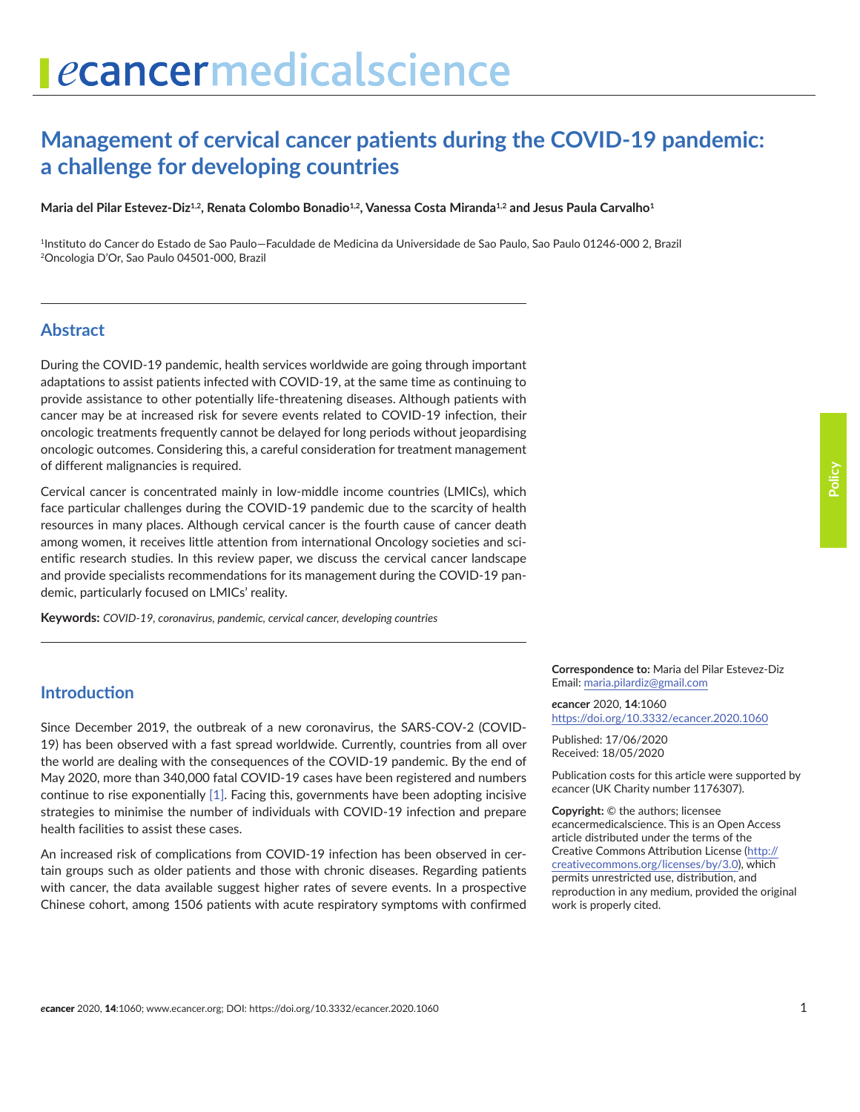# **Management of cervical cancer patients during the COVID-19 pandemic: a challenge for developing countries**

Maria del Pilar Estevez-Diz<sup>1,2</sup>, Renata Colombo Bonadio<sup>1,2</sup>, Vanessa Costa Miranda<sup>1,2</sup> and Jesus Paula Carvalho<sup>1</sup>

1Instituto do Cancer do Estado de Sao Paulo—Faculdade de Medicina da Universidade de Sao Paulo, Sao Paulo 01246-000 2, Brazil 2Oncologia D'Or, Sao Paulo 04501-000, Brazil

#### **Abstract**

During the COVID-19 pandemic, health services worldwide are going through important adaptations to assist patients infected with COVID-19, at the same time as continuing to provide assistance to other potentially life-threatening diseases. Although patients with cancer may be at increased risk for severe events related to COVID-19 infection, their oncologic treatments frequently cannot be delayed for long periods without jeopardising oncologic outcomes. Considering this, a careful consideration for treatment management of different malignancies is required.

Cervical cancer is concentrated mainly in low-middle income countries (LMICs), which face particular challenges during the COVID-19 pandemic due to the scarcity of health resources in many places. Although cervical cancer is the fourth cause of cancer death among women, it receives little attention from international Oncology societies and scientific research studies. In this review paper, we discuss the cervical cancer landscape and provide specialists recommendations for its management during the COVID-19 pandemic, particularly focused on LMICs' reality.

**Keywords:** *COVID-19, coronavirus, pandemic, cervical cancer, developing countries*

## **Introduction**

Since December 2019, the outbreak of a new coronavirus, the SARS-COV-2 (COVID-19) has been observed with a fast spread worldwide. Currently, countries from all over the world are dealing with the consequences of the COVID-19 pandemic. By the end of May 2020, more than 340,000 fatal COVID-19 cases have been registered and numbers continue to rise exponentially [\[1\].](#page-5-0) Facing this, governments have been adopting incisive strategies to minimise the number of individuals with COVID-19 infection and prepare health facilities to assist these cases.

An increased risk of complications from COVID-19 infection has been observed in certain groups such as older patients and those with chronic diseases. Regarding patients with cancer, the data available suggest higher rates of severe events. In a prospective Chinese cohort, among 1506 patients with acute respiratory symptoms with confirmed

**Correspondence to:** Maria del Pilar Estevez-Diz Email: maria.pilardiz@gmail.com

*e***cancer** 2020, **14**:1060 [https://doi.org/10.3332/ecancer.2020.106](https://doi.org/10.3332/ecancer.2020.1060)0

Published: 17/06/2020 Received: 18/05/2020

Publication costs for this article were supported by *e*cancer (UK Charity number 1176307).

**Copyright:** © the authors; licensee *e*cancermedicalscience. This is an Open Access article distributed under the terms of the Creative Commons Attribution License [\(http://](http://creativecommons.org/licenses/by/3.0) [creativecommons.org/licenses/by/3.0\)](http://creativecommons.org/licenses/by/3.0), which permits unrestricted use, distribution, and reproduction in any medium, provided the original work is properly cited.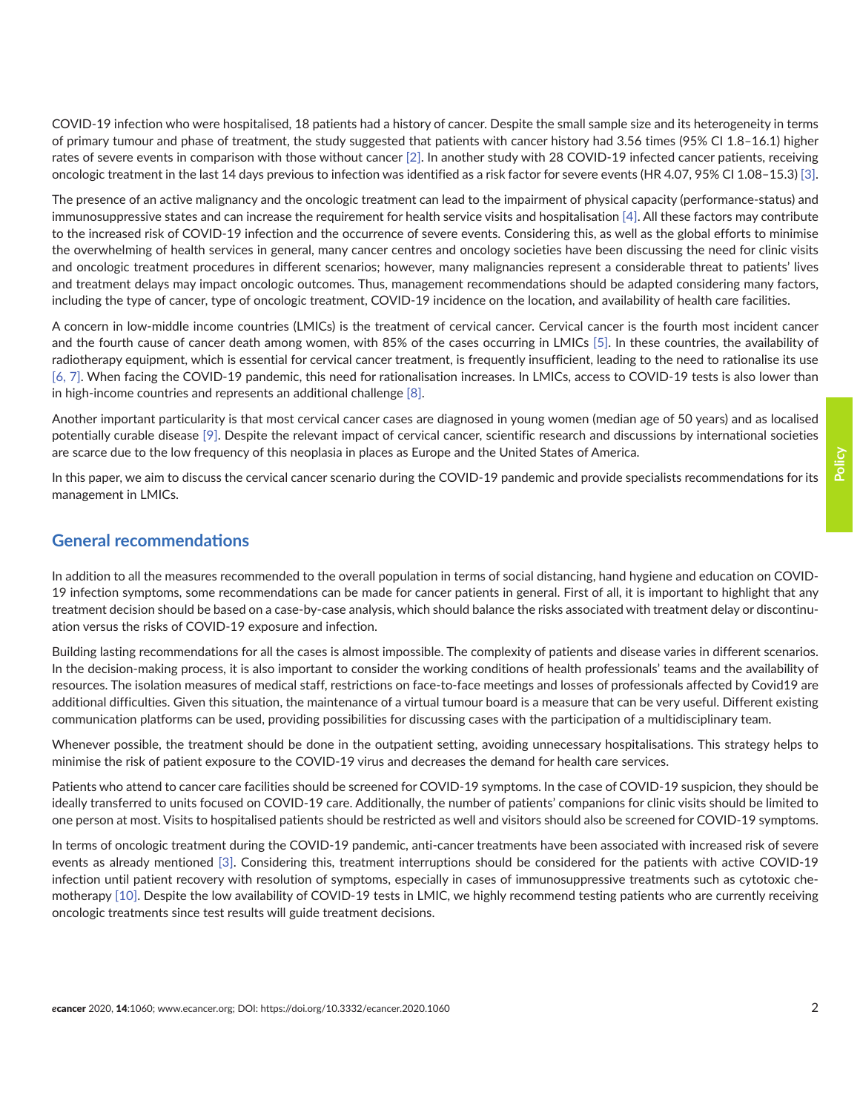COVID-19 infection who were hospitalised, 18 patients had a history of cancer. Despite the small sample size and its heterogeneity in terms of primary tumour and phase of treatment, the study suggested that patients with cancer history had 3.56 times (95% CI 1.8–16.1) higher rates of severe events in comparison with those without cancer [\[2\].](#page-5-0) In another study with 28 COVID-19 infected cancer patients, receiving oncologic treatment in the last 14 days previous to infection was identified as a risk factor for severe events (HR 4.07, 95% CI 1.08–15.3) [\[3\].](#page-5-0)

The presence of an active malignancy and the oncologic treatment can lead to the impairment of physical capacity (performance-status) and immunosuppressive states and can increase the requirement for health service visits and hospitalisation [\[4\].](#page-5-0) All these factors may contribute to the increased risk of COVID-19 infection and the occurrence of severe events. Considering this, as well as the global efforts to minimise the overwhelming of health services in general, many cancer centres and oncology societies have been discussing the need for clinic visits and oncologic treatment procedures in different scenarios; however, many malignancies represent a considerable threat to patients' lives and treatment delays may impact oncologic outcomes. Thus, management recommendations should be adapted considering many factors, including the type of cancer, type of oncologic treatment, COVID-19 incidence on the location, and availability of health care facilities.

A concern in low-middle income countries (LMICs) is the treatment of cervical cancer. Cervical cancer is the fourth most incident cancer and the fourth cause of cancer death among women, with 85% of the cases occurring in LMICs [\[5\]](#page-5-0). In these countries, the availability of radiotherapy equipment, which is essential for cervical cancer treatment, is frequently insufficient, leading to the need to rationalise its use [\[6,](#page-5-0) [7\]](#page-5-0). When facing the COVID-19 pandemic, this need for rationalisation increases. In LMICs, access to COVID-19 tests is also lower than in high-income countries and represents an additional challenge [\[8\]](#page-5-0).

Another important particularity is that most cervical cancer cases are diagnosed in young women (median age of 50 years) and as localised potentially curable disease [\[9\]](#page-6-0). Despite the relevant impact of cervical cancer, scientific research and discussions by international societies are scarce due to the low frequency of this neoplasia in places as Europe and the United States of America.

In this paper, we aim to discuss the cervical cancer scenario during the COVID-19 pandemic and provide specialists recommendations for its management in LMICs.

## **General recommendations**

In addition to all the measures recommended to the overall population in terms of social distancing, hand hygiene and education on COVID-19 infection symptoms, some recommendations can be made for cancer patients in general. First of all, it is important to highlight that any treatment decision should be based on a case-by-case analysis, which should balance the risks associated with treatment delay or discontinuation versus the risks of COVID-19 exposure and infection.

Building lasting recommendations for all the cases is almost impossible. The complexity of patients and disease varies in different scenarios. In the decision-making process, it is also important to consider the working conditions of health professionals' teams and the availability of resources. The isolation measures of medical staff, restrictions on face-to-face meetings and losses of professionals affected by Covid19 are additional difficulties. Given this situation, the maintenance of a virtual tumour board is a measure that can be very useful. Different existing communication platforms can be used, providing possibilities for discussing cases with the participation of a multidisciplinary team.

Whenever possible, the treatment should be done in the outpatient setting, avoiding unnecessary hospitalisations. This strategy helps to minimise the risk of patient exposure to the COVID-19 virus and decreases the demand for health care services.

Patients who attend to cancer care facilities should be screened for COVID-19 symptoms. In the case of COVID-19 suspicion, they should be ideally transferred to units focused on COVID-19 care. Additionally, the number of patients' companions for clinic visits should be limited to one person at most. Visits to hospitalised patients should be restricted as well and visitors should also be screened for COVID-19 symptoms.

In terms of oncologic treatment during the COVID-19 pandemic, anti-cancer treatments have been associated with increased risk of severe events as already mentioned [\[3\]](#page-5-0). Considering this, treatment interruptions should be considered for the patients with active COVID-19 infection until patient recovery with resolution of symptoms, especially in cases of immunosuppressive treatments such as cytotoxic chemotherapy [\[10\].](#page-6-0) Despite the low availability of COVID-19 tests in LMIC, we highly recommend testing patients who are currently receiving oncologic treatments since test results will guide treatment decisions.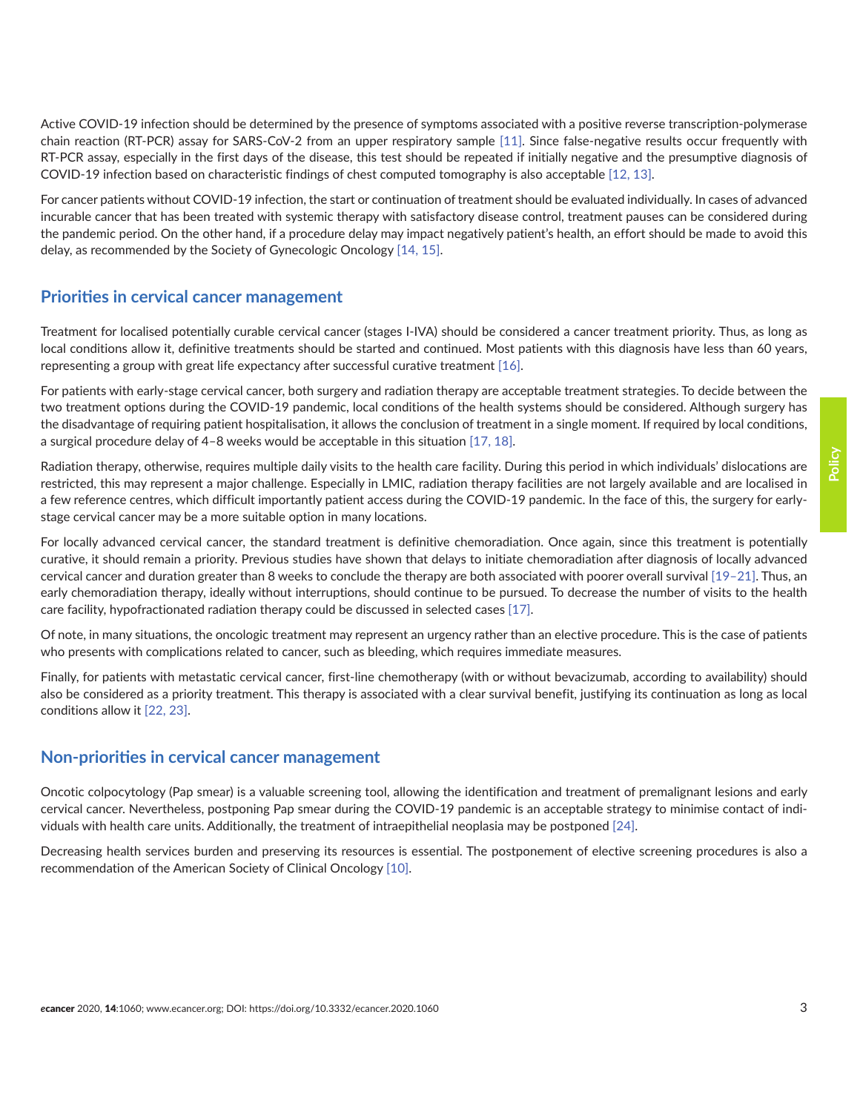Active COVID-19 infection should be determined by the presence of symptoms associated with a positive reverse transcription-polymerase chain reaction (RT-PCR) assay for SARS-CoV-2 from an upper respiratory sample [\[11\].](#page-6-0) Since false-negative results occur frequently with RT-PCR assay, especially in the first days of the disease, this test should be repeated if initially negative and the presumptive diagnosis of COVID-19 infection based on characteristic findings of chest computed tomography is also acceptable [\[12, 13\]](#page-6-0).

For cancer patients without COVID-19 infection, the start or continuation of treatment should be evaluated individually. In cases of advanced incurable cancer that has been treated with systemic therapy with satisfactory disease control, treatment pauses can be considered during the pandemic period. On the other hand, if a procedure delay may impact negatively patient's health, an effort should be made to avoid this delay, as recommended by the Society of Gynecologic Oncology [\[14, 15\]](#page-6-0).

### **Priorities in cervical cancer management**

Treatment for localised potentially curable cervical cancer (stages I-IVA) should be considered a cancer treatment priority. Thus, as long as local conditions allow it, definitive treatments should be started and continued. Most patients with this diagnosis have less than 60 years, representing a group with great life expectancy after successful curative treatment [\[16\].](#page-6-0)

For patients with early-stage cervical cancer, both surgery and radiation therapy are acceptable treatment strategies. To decide between the two treatment options during the COVID-19 pandemic, local conditions of the health systems should be considered. Although surgery has the disadvantage of requiring patient hospitalisation, it allows the conclusion of treatment in a single moment. If required by local conditions, a surgical procedure delay of 4–8 weeks would be acceptable in this situation [\[17, 18\]](#page-6-0).

Radiation therapy, otherwise, requires multiple daily visits to the health care facility. During this period in which individuals' dislocations are restricted, this may represent a major challenge. Especially in LMIC, radiation therapy facilities are not largely available and are localised in a few reference centres, which difficult importantly patient access during the COVID-19 pandemic. In the face of this, the surgery for earlystage cervical cancer may be a more suitable option in many locations.

For locally advanced cervical cancer, the standard treatment is definitive chemoradiation. Once again, since this treatment is potentially curative, it should remain a priority. Previous studies have shown that delays to initiate chemoradiation after diagnosis of locally advanced cervical cancer and duration greater than 8 weeks to conclude the therapy are both associated with poorer overall survival [\[19–21\]](#page-6-0). Thus, an early chemoradiation therapy, ideally without interruptions, should continue to be pursued. To decrease the number of visits to the health care facility, hypofractionated radiation therapy could be discussed in selected cases [\[17\].](#page-6-0)

Of note, in many situations, the oncologic treatment may represent an urgency rather than an elective procedure. This is the case of patients who presents with complications related to cancer, such as bleeding, which requires immediate measures.

Finally, for patients with metastatic cervical cancer, first-line chemotherapy (with or without bevacizumab, according to availability) should also be considered as a priority treatment. This therapy is associated with a clear survival benefit, justifying its continuation as long as local conditions allow it [\[22, 23\].](#page-6-0)

## **Non-priorities in cervical cancer management**

Oncotic colpocytology (Pap smear) is a valuable screening tool, allowing the identification and treatment of premalignant lesions and early cervical cancer. Nevertheless, postponing Pap smear during the COVID-19 pandemic is an acceptable strategy to minimise contact of individuals with health care units. Additionally, the treatment of intraepithelial neoplasia may be postponed [\[24\]](#page-6-0).

Decreasing health services burden and preserving its resources is essential. The postponement of elective screening procedures is also a recommendation of the American Society of Clinical Oncology [\[10\]](#page-6-0).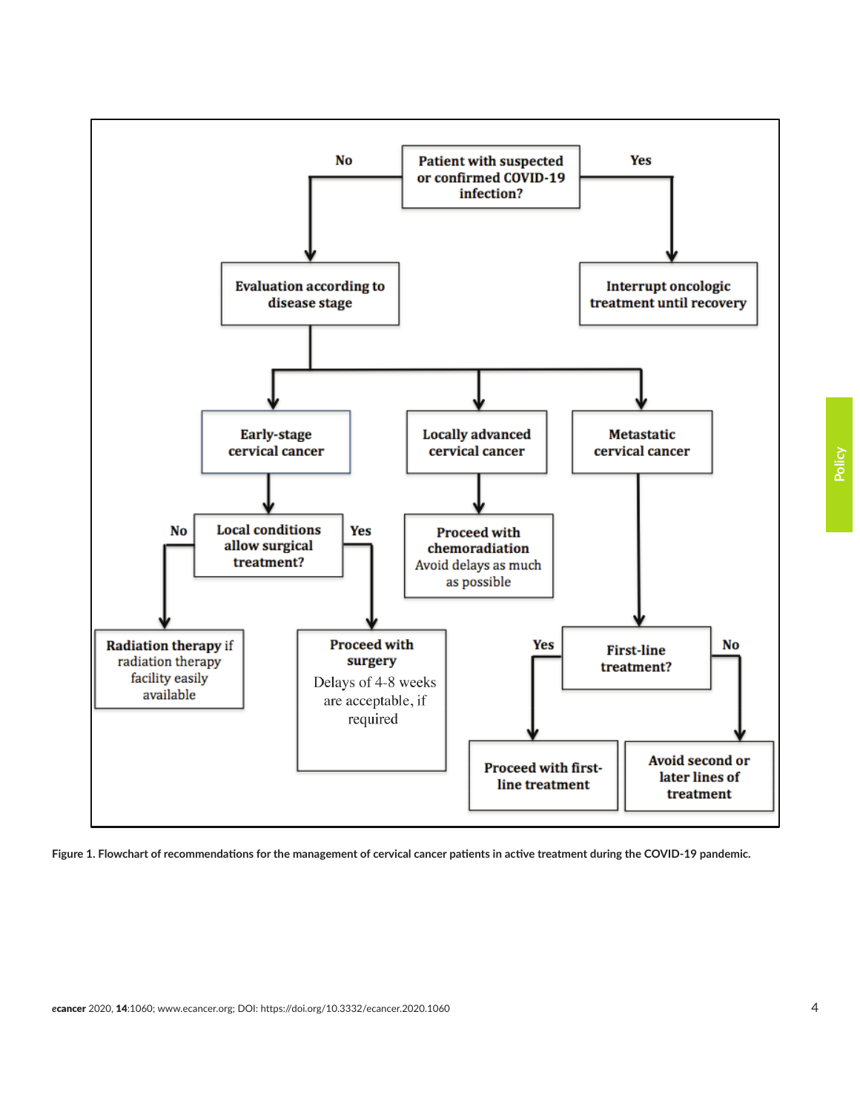

**Figure 1. Flowchart of recommendations for the management of cervical cancer patients in active treatment during the COVID-19 pandemic.**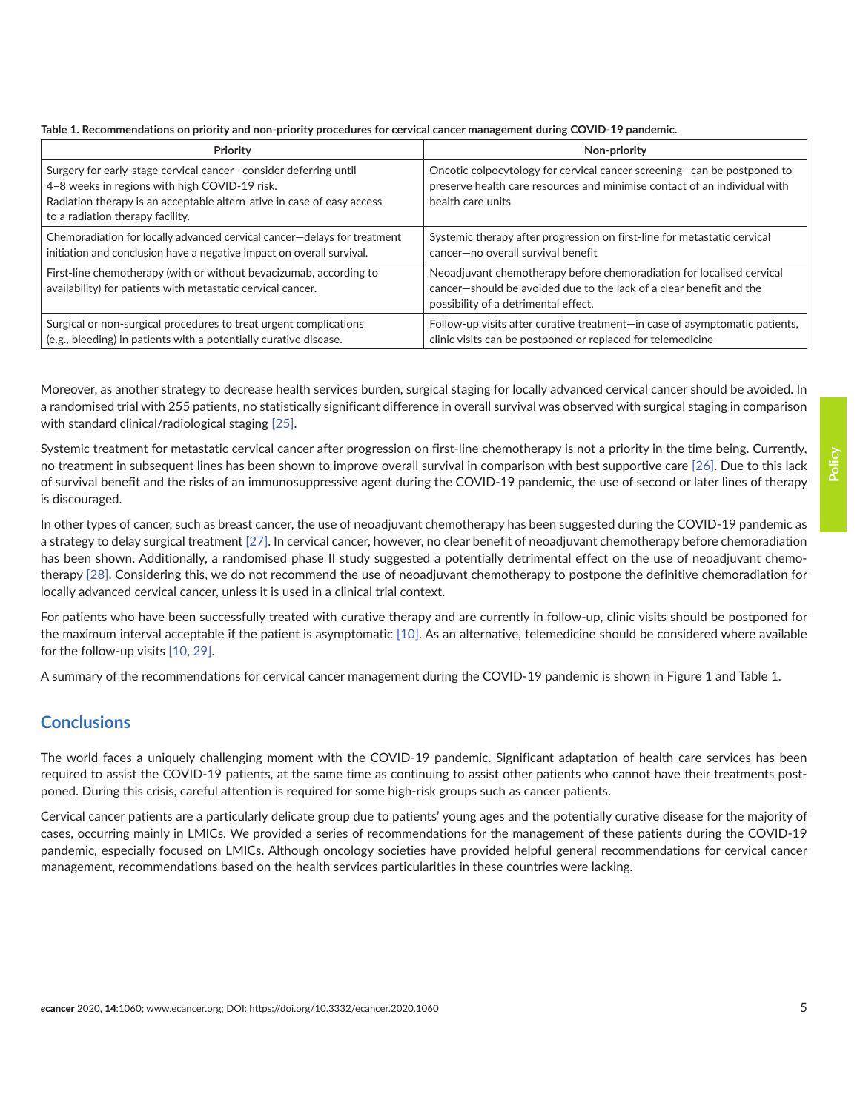|  |  |  | Table 1. Recommendations on priority and non-priority procedures for cervical cancer management during COVID-19 pandemic. |
|--|--|--|---------------------------------------------------------------------------------------------------------------------------|
|  |  |  |                                                                                                                           |

| <b>Priority</b>                                                                                                                                                                                                                 | Non-priority                                                                                                                                                                         |
|---------------------------------------------------------------------------------------------------------------------------------------------------------------------------------------------------------------------------------|--------------------------------------------------------------------------------------------------------------------------------------------------------------------------------------|
| Surgery for early-stage cervical cancer-consider deferring until<br>4-8 weeks in regions with high COVID-19 risk.<br>Radiation therapy is an acceptable altern-ative in case of easy access<br>to a radiation therapy facility. | Oncotic colpocytology for cervical cancer screening-can be postponed to<br>preserve health care resources and minimise contact of an individual with<br>health care units            |
| Chemoradiation for locally advanced cervical cancer-delays for treatment<br>initiation and conclusion have a negative impact on overall survival.                                                                               | Systemic therapy after progression on first-line for metastatic cervical<br>cancer-no overall survival benefit                                                                       |
| First-line chemotherapy (with or without bevacizumab, according to<br>availability) for patients with metastatic cervical cancer.                                                                                               | Neoadjuvant chemotherapy before chemoradiation for localised cervical<br>cancer-should be avoided due to the lack of a clear benefit and the<br>possibility of a detrimental effect. |
| Surgical or non-surgical procedures to treat urgent complications<br>(e.g., bleeding) in patients with a potentially curative disease.                                                                                          | Follow-up visits after curative treatment-in case of asymptomatic patients,<br>clinic visits can be postponed or replaced for telemedicine                                           |

Moreover, as another strategy to decrease health services burden, surgical staging for locally advanced cervical cancer should be avoided. In a randomised trial with 255 patients, no statistically significant difference in overall survival was observed with surgical staging in comparison with standard clinical/radiological staging [\[25\]](#page-7-0).

Systemic treatment for metastatic cervical cancer after progression on first-line chemotherapy is not a priority in the time being. Currently, no treatment in subsequent lines has been shown to improve overall survival in comparison with best supportive care [\[26\].](#page-7-0) Due to this lack of survival benefit and the risks of an immunosuppressive agent during the COVID-19 pandemic, the use of second or later lines of therapy is discouraged.

In other types of cancer, such as breast cancer, the use of neoadjuvant chemotherapy has been suggested during the COVID-19 pandemic as a strategy to delay surgical treatment [\[27\].](#page-7-0) In cervical cancer, however, no clear benefit of neoadjuvant chemotherapy before chemoradiation has been shown. Additionally, a randomised phase II study suggested a potentially detrimental effect on the use of neoadjuvant chemotherapy [\[28\]](#page-7-0). Considering this, we do not recommend the use of neoadjuvant chemotherapy to postpone the definitive chemoradiation for locally advanced cervical cancer, unless it is used in a clinical trial context.

For patients who have been successfully treated with curative therapy and are currently in follow-up, clinic visits should be postponed for the maximum interval acceptable if the patient is asymptomatic [\[10\]](#page-6-0). As an alternative, telemedicine should be considered where available for the follow-up visits [\[10,](#page-6-0) [29\].](#page-7-0)

A summary of the recommendations for cervical cancer management during the COVID-19 pandemic is shown in Figure 1 and Table 1.

## **Conclusions**

The world faces a uniquely challenging moment with the COVID-19 pandemic. Significant adaptation of health care services has been required to assist the COVID-19 patients, at the same time as continuing to assist other patients who cannot have their treatments postponed. During this crisis, careful attention is required for some high-risk groups such as cancer patients.

Cervical cancer patients are a particularly delicate group due to patients' young ages and the potentially curative disease for the majority of cases, occurring mainly in LMICs. We provided a series of recommendations for the management of these patients during the COVID-19 pandemic, especially focused on LMICs. Although oncology societies have provided helpful general recommendations for cervical cancer management, recommendations based on the health services particularities in these countries were lacking.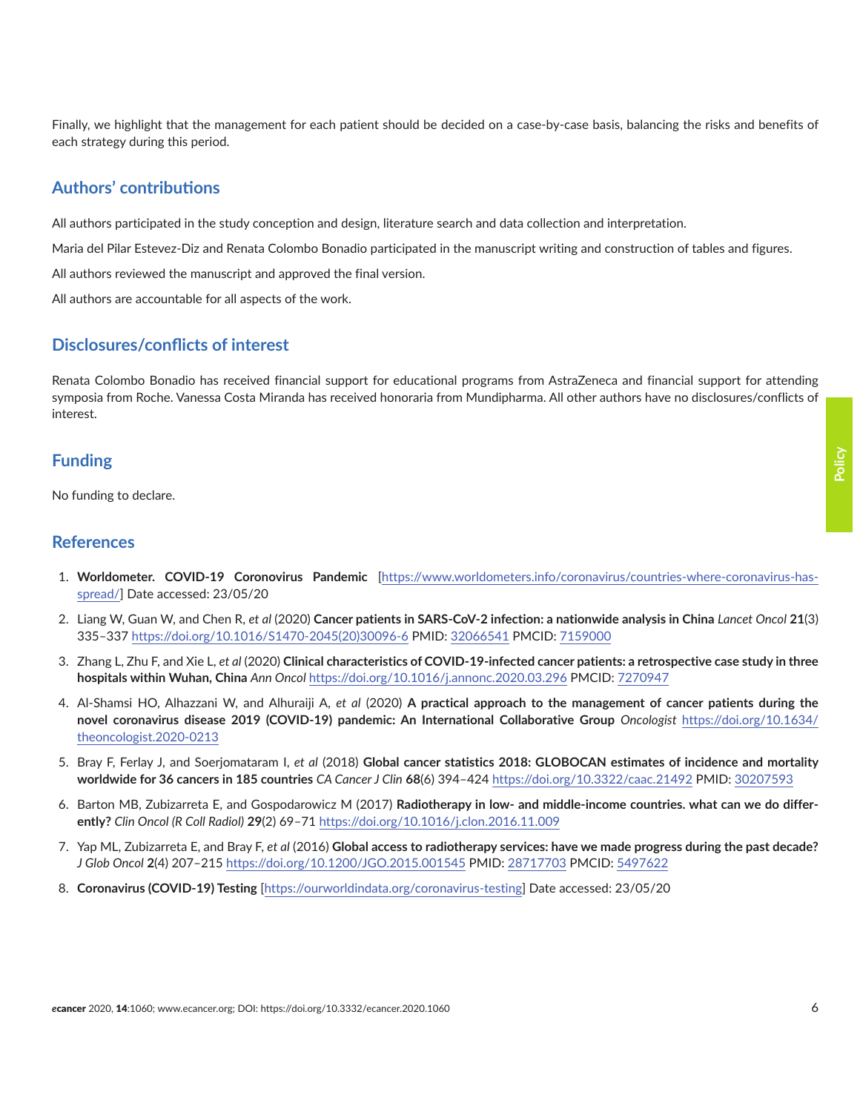<span id="page-5-0"></span>Finally, we highlight that the management for each patient should be decided on a case-by-case basis, balancing the risks and benefits of each strategy during this period.

### **Authors' contributions**

All authors participated in the study conception and design, literature search and data collection and interpretation.

Maria del Pilar Estevez-Diz and Renata Colombo Bonadio participated in the manuscript writing and construction of tables and figures.

All authors reviewed the manuscript and approved the final version.

All authors are accountable for all aspects of the work.

#### **Disclosures/conflicts of interest**

Renata Colombo Bonadio has received financial support for educational programs from AstraZeneca and financial support for attending symposia from Roche. Vanessa Costa Miranda has received honoraria from Mundipharma. All other authors have no disclosures/conflicts of interest.

#### **Funding**

No funding to declare.

#### **References**

- 1. **Worldometer. COVID-19 Coronovirus Pandemic** [[https://www.worldometers.info/coronavirus/countries-where-coronavirus-has](https://www.worldometers.info/coronavirus/countries-where-coronavirus-has-spread/ )[spread/](https://www.worldometers.info/coronavirus/countries-where-coronavirus-has-spread/ )] Date accessed: 23/05/20
- 2. Liang W, Guan W, and Chen R, *et al* (2020) **Cancer patients in SARS-CoV-2 infection: a nationwide analysis in China** *Lancet Oncol* **21**(3) 335–337 [https://doi.org/10.1016/S1470-2045\(20\)30096-6](https://doi.org/10.1016/S1470-2045(20)30096-6 ) PMID: [32066541](http://www.ncbi.nlm.nih.gov/pubmed/32066541) PMCID: [7159000](http://www.ncbi.nlm.nih.gov/pmc/articles/PMC7159000)
- 3. Zhang L, Zhu F, and Xie L, *et al* (2020) **Clinical characteristics of COVID-19-infected cancer patients: a retrospective case study in three hospitals within Wuhan, China** *Ann Oncol* [https://doi.org/10.1016/j.annonc.2020.03.296](https://doi.org/10.1016/j.annonc.2020.03.296 ) PMCID: [7270947](http://www.ncbi.nlm.nih.gov/pmc/articles/PMC7270947)
- 4. Al-Shamsi HO, Alhazzani W, and Alhuraiji A, *et al* (2020) **A practical approach to the management of cancer patients during the novel coronavirus disease 2019 (COVID-19) pandemic: An International Collaborative Group** *Oncologist* [https://doi.org/10.1634/](https://doi.org/10.1634/theoncologist.2020-0213 ) [theoncologist.2020-0213](https://doi.org/10.1634/theoncologist.2020-0213 )
- 5. Bray F, Ferlay J, and Soerjomataram I, *et al* (2018) **Global cancer statistics 2018: GLOBOCAN estimates of incidence and mortality worldwide for 36 cancers in 185 countries** *CA Cancer J Clin* **68**(6) 394–424 [https://doi.org/10.3322/caac.21492](https://doi.org/10.3322/caac.21492 ) PMID: [30207593](http://www.ncbi.nlm.nih.gov/pubmed/30207593)
- 6. Barton MB, Zubizarreta E, and Gospodarowicz M (2017) **Radiotherapy in low- and middle-income countries. what can we do differently?** *Clin Oncol (R Coll Radiol)* **29**(2) 69–71 [https://doi.org/10.1016/j.clon.2016.11.009](https://doi.org/10.1016/j.clon.2016.11.009 )
- 7. Yap ML, Zubizarreta E, and Bray F, *et al* (2016) **Global access to radiotherapy services: have we made progress during the past decade?** *J Glob Oncol* **2**(4) 207–215 [https://doi.org/10.1200/JGO.2015.001545](https://doi.org/10.1200/JGO.2015.001545 ) PMID: [28717703](http://www.ncbi.nlm.nih.gov/pubmed/28717703) PMCID: [5497622](http://www.ncbi.nlm.nih.gov/pmc/articles/PMC5497622)
- 8. **Coronavirus (COVID-19) Testing** [\[https://ourworldindata.org/coronavirus-testing\]](https://ourworldindata.org/coronavirus-testing ) Date accessed: 23/05/20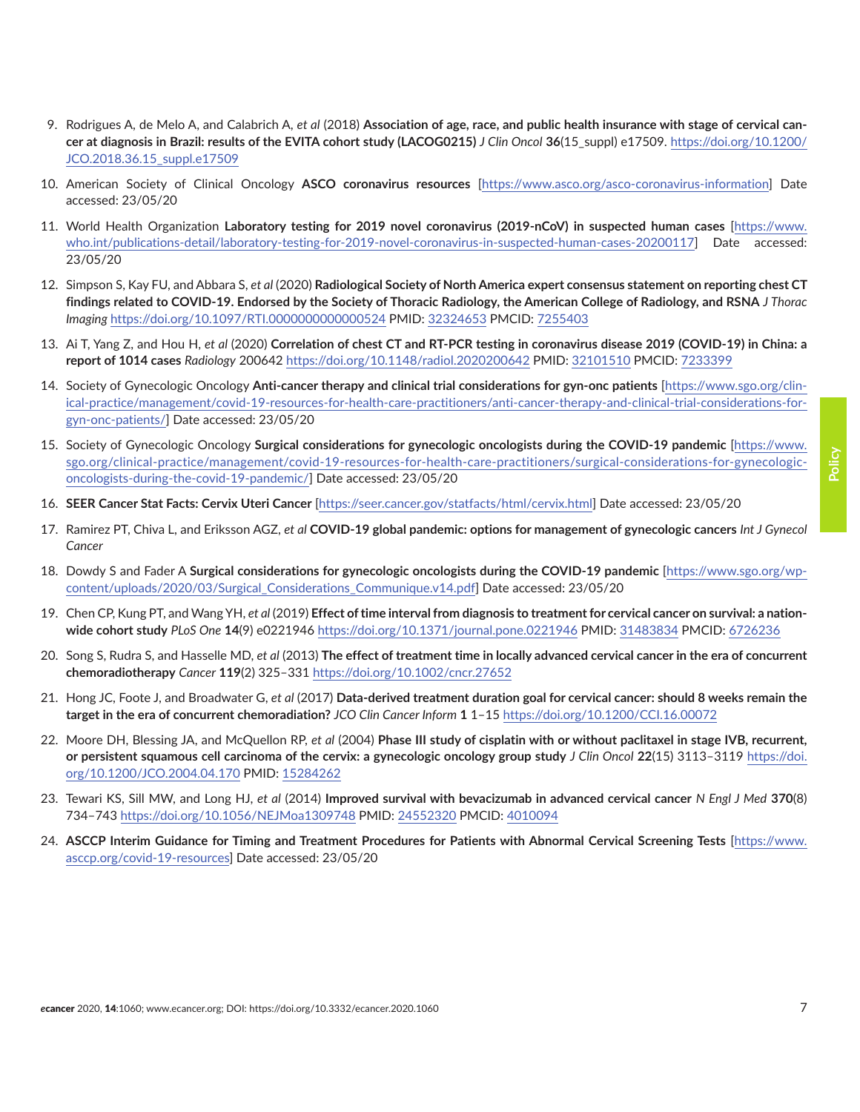- <span id="page-6-0"></span>9. Rodrigues A, de Melo A, and Calabrich A, *et al* (2018) **Association of age, race, and public health insurance with stage of cervical cancer at diagnosis in Brazil: results of the EVITA cohort study (LACOG0215)** *J Clin Oncol* **36**(15\_suppl) e17509. [https://doi.org/10.1200/](https://doi.org/10.1200/JCO.2018.36.15_suppl.e17509 ) [JCO.2018.36.15\\_suppl.e17509](https://doi.org/10.1200/JCO.2018.36.15_suppl.e17509 )
- 10. American Society of Clinical Oncology **ASCO coronavirus resources** [\[https://www.asco.org/asco-coronavirus-information\]](https://www.asco.org/asco-coronavirus-information ) Date accessed: 23/05/20
- 11. World Health Organization **Laboratory testing for 2019 novel coronavirus (2019-nCoV) in suspected human cases** [[https://www.](https://www.who.int/publications-detail/laboratory-testing-for-2019-novel-coronavirus-in-suspected-human-cases-20200117 ) [who.int/publications-detail/laboratory-testing-for-2019-novel-coronavirus-in-suspected-human-cases-20200117\]](https://www.who.int/publications-detail/laboratory-testing-for-2019-novel-coronavirus-in-suspected-human-cases-20200117 ) Date accessed: 23/05/20
- 12. Simpson S, Kay FU, and Abbara S, *et al* (2020) **Radiological Society of North America expert consensus statement on reporting chest CT findings related to COVID-19. Endorsed by the Society of Thoracic Radiology, the American College of Radiology, and RSNA** *J Thorac Imaging* [https://doi.org/10.1097/RTI.0000000000000524](https://doi.org/10.1097/RTI.0000000000000524 ) PMID: [32324653](http://www.ncbi.nlm.nih.gov/pubmed/32324653) PMCID: [7255403](http://www.ncbi.nlm.nih.gov/pmc/articles/PMC7255403)
- 13. Ai T, Yang Z, and Hou H, *et al* (2020) **Correlation of chest CT and RT-PCR testing in coronavirus disease 2019 (COVID-19) in China: a report of 1014 cases** *Radiology* 200642 [https://doi.org/10.1148/radiol.2020200642](https://doi.org/10.1148/radiol.2020200642 ) PMID: [32101510](http://www.ncbi.nlm.nih.gov/pubmed/32101510) PMCID: [7233399](http://www.ncbi.nlm.nih.gov/pmc/articles/PMC7233399)
- 14. Society of Gynecologic Oncology **Anti-cancer therapy and clinical trial considerations for gyn-onc patients** [[https://www.sgo.org/clin](https://www.sgo.org/clinical-practice/management/covid-19-resources-for-health-care-practitioners/anti-cancer-therapy-and-clinical-trial-considerations-for-gyn-onc-patients/ )[ical-practice/management/covid-19-resources-for-health-care-practitioners/anti-cancer-therapy-and-clinical-trial-considerations-for](https://www.sgo.org/clinical-practice/management/covid-19-resources-for-health-care-practitioners/anti-cancer-therapy-and-clinical-trial-considerations-for-gyn-onc-patients/ )[gyn-onc-patients/](https://www.sgo.org/clinical-practice/management/covid-19-resources-for-health-care-practitioners/anti-cancer-therapy-and-clinical-trial-considerations-for-gyn-onc-patients/ )] Date accessed: 23/05/20
- 15. Society of Gynecologic Oncology **Surgical considerations for gynecologic oncologists during the COVID-19 pandemic** [[https://www.](https://www.sgo.org/clinical-practice/management/covid-19-resources-for-health-care-practitioners/surgical-considerations-for-gynecologic-oncologists-during-the-covid-19-pandemic/ ) [sgo.org/clinical-practice/management/covid-19-resources-for-health-care-practitioners/surgical-considerations-for-gynecologic](https://www.sgo.org/clinical-practice/management/covid-19-resources-for-health-care-practitioners/surgical-considerations-for-gynecologic-oncologists-during-the-covid-19-pandemic/ )[oncologists-during-the-covid-19-pandemic/](https://www.sgo.org/clinical-practice/management/covid-19-resources-for-health-care-practitioners/surgical-considerations-for-gynecologic-oncologists-during-the-covid-19-pandemic/ )] Date accessed: 23/05/20
- 16. **SEER Cancer Stat Facts: Cervix Uteri Cancer** [\[https://seer.cancer.gov/statfacts/html/cervix.html\]](https://seer.cancer.gov/statfacts/html/cervix.html ) Date accessed: 23/05/20
- 17. Ramirez PT, Chiva L, and Eriksson AGZ, *et al* **COVID-19 global pandemic: options for management of gynecologic cancers** *Int J Gynecol Cancer*
- 18. Dowdy S and Fader A **Surgical considerations for gynecologic oncologists during the COVID-19 pandemic** [[https://www.sgo.org/wp](https://www.sgo.org/wp-content/uploads/2020/03/Surgical_Considerations_Communique.v14.pdf )[content/uploads/2020/03/Surgical\\_Considerations\\_Communique.v14.pdf\]](https://www.sgo.org/wp-content/uploads/2020/03/Surgical_Considerations_Communique.v14.pdf ) Date accessed: 23/05/20
- 19. Chen CP, Kung PT, and Wang YH, *et al* (2019) **Effect of time interval from diagnosis to treatment for cervical cancer on survival: a nationwide cohort study** *PLoS One* **14**(9) e0221946 [https://doi.org/10.1371/journal.pone.0221946](https://doi.org/10.1371/journal.pone.0221946 ) PMID: [31483834](http://www.ncbi.nlm.nih.gov/pubmed/31483834) PMCID: [6726236](http://www.ncbi.nlm.nih.gov/pmc/articles/PMC6726236)
- 20. Song S, Rudra S, and Hasselle MD, *et al* (2013) **The effect of treatment time in locally advanced cervical cancer in the era of concurrent chemoradiotherapy** *Cancer* **119**(2) 325–331 [https://doi.org/10.1002/cncr.27652](https://doi.org/10.1002/cncr.27652 )
- 21. Hong JC, Foote J, and Broadwater G, *et al* (2017) **Data-derived treatment duration goal for cervical cancer: should 8 weeks remain the target in the era of concurrent chemoradiation?** *JCO Clin Cancer Inform* **1** 1–15 [https://doi.org/10.1200/CCI.16.00072](https://doi.org/10.1200/CCI.16.00072 )
- 22. Moore DH, Blessing JA, and McQuellon RP, *et al* (2004) **Phase III study of cisplatin with or without paclitaxel in stage IVB, recurrent, or persistent squamous cell carcinoma of the cervix: a gynecologic oncology group study** *J Clin Oncol* **22**(15) 3113–3119 [https://doi.](https://doi.org/10.1200/JCO.2004.04.170 ) [org/10.1200/JCO.2004.04.170](https://doi.org/10.1200/JCO.2004.04.170 ) PMID: [15284262](http://www.ncbi.nlm.nih.gov/pubmed/15284262)
- 23. Tewari KS, Sill MW, and Long HJ, *et al* (2014) **Improved survival with bevacizumab in advanced cervical cancer** *N Engl J Med* **370**(8) 734–743 [https://doi.org/10.1056/NEJMoa1309748](https://doi.org/10.1056/NEJMoa1309748 ) PMID: [24552320](http://www.ncbi.nlm.nih.gov/pubmed/24552320) PMCID: [4010094](http://www.ncbi.nlm.nih.gov/pmc/articles/PMC4010094)
- 24. **ASCCP Interim Guidance for Timing and Treatment Procedures for Patients with Abnormal Cervical Screening Tests** [[https://www.](https://www.asccp.org/covid-19-resources ) [asccp.org/covid-19-resources](https://www.asccp.org/covid-19-resources )] Date accessed: 23/05/20